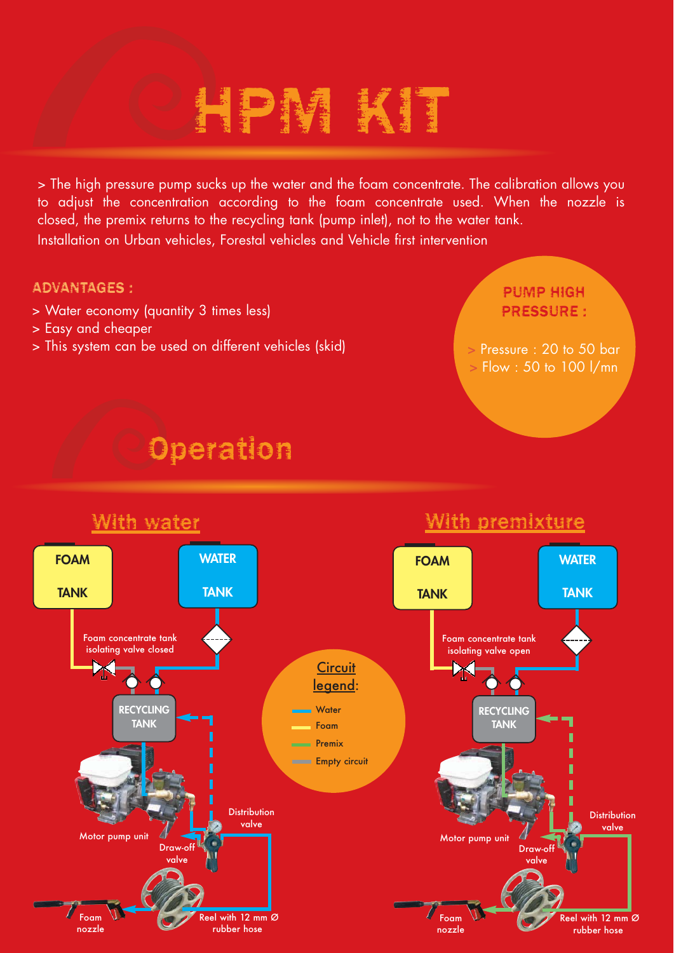# HPM KIT

> The high pressure pump sucks up the water and the foam concentrate. The calibration allows you to adjust the concentration according to the foam concentrate used. When the nozzle is closed, the premix returns to the recycling tank (pump inlet), not to the water tank. Installation on Urban vehicles, Forestal vehicles and Vehicle first intervention

#### ADVANTAGES :

- > Water economy (quantity 3 times less)
- > Easy and cheaper
- > This system can be used on different vehicles (skid)

#### PUMP HIGH PRESSURE :

**>** Pressure : 20 to 50 bar **>** Flow : 50 to 100 l/mn

### **Operation**